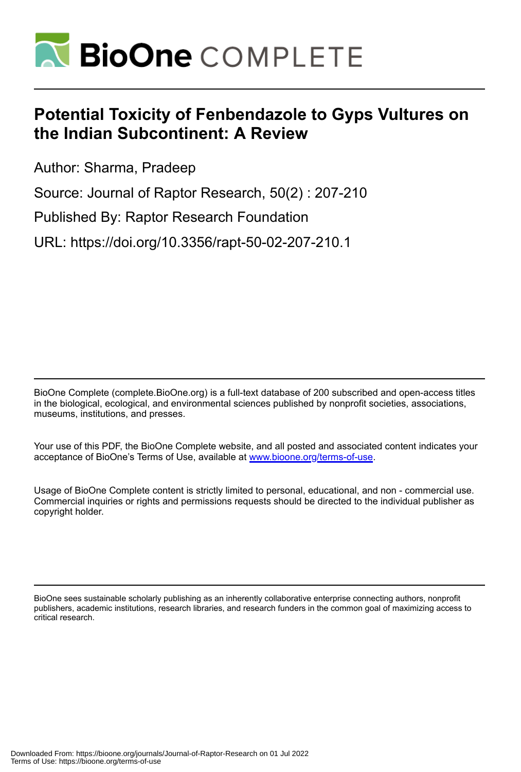

# **Potential Toxicity of Fenbendazole to Gyps Vultures on the Indian Subcontinent: A Review**

Author: Sharma, Pradeep

Source: Journal of Raptor Research, 50(2) : 207-210

Published By: Raptor Research Foundation

URL: https://doi.org/10.3356/rapt-50-02-207-210.1

BioOne Complete (complete.BioOne.org) is a full-text database of 200 subscribed and open-access titles in the biological, ecological, and environmental sciences published by nonprofit societies, associations, museums, institutions, and presses.

Your use of this PDF, the BioOne Complete website, and all posted and associated content indicates your acceptance of BioOne's Terms of Use, available at www.bioone.org/terms-of-use.

Usage of BioOne Complete content is strictly limited to personal, educational, and non - commercial use. Commercial inquiries or rights and permissions requests should be directed to the individual publisher as copyright holder.

BioOne sees sustainable scholarly publishing as an inherently collaborative enterprise connecting authors, nonprofit publishers, academic institutions, research libraries, and research funders in the common goal of maximizing access to critical research.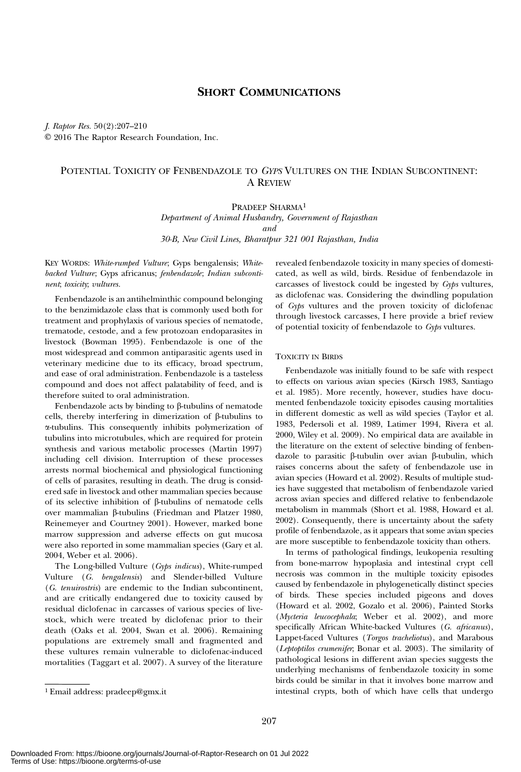# SHORT COMMUNICATIONS

J. Raptor Res. 50(2):207–210 E 2016 The Raptor Research Foundation, Inc.

# POTENTIAL TOXICITY OF FENBENDAZOLE TO GYPS VULTURES ON THE INDIAN SUBCONTINENT: A REVIEW

## PRADEEP SHARMA1

Department of Animal Husbandry, Government of Rajasthan and

30-B, New Civil Lines, Bharatpur 321 001 Rajasthan, India

KEY WORDS: White-rumped Vulture; Gyps bengalensis; Whitebacked Vulture; Gyps africanus; fenbendazole; Indian subcontinent; toxicity; vultures.

Fenbendazole is an antihelminthic compound belonging to the benzimidazole class that is commonly used both for treatment and prophylaxis of various species of nematode, trematode, cestode, and a few protozoan endoparasites in livestock (Bowman 1995). Fenbendazole is one of the most widespread and common antiparasitic agents used in veterinary medicine due to its efficacy, broad spectrum, and ease of oral administration. Fenbendazole is a tasteless compound and does not affect palatability of feed, and is therefore suited to oral administration.

Fenbendazole acts by binding to  $\beta$ -tubulins of nematode cells, thereby interfering in dimerization of  $\beta$ -tubulins to a-tubulins. This consequently inhibits polymerization of tubulins into microtubules, which are required for protein synthesis and various metabolic processes (Martin 1997) including cell division. Interruption of these processes arrests normal biochemical and physiological functioning of cells of parasites, resulting in death. The drug is considered safe in livestock and other mammalian species because of its selective inhibition of b-tubulins of nematode cells over mammalian b-tubulins (Friedman and Platzer 1980, Reinemeyer and Courtney 2001). However, marked bone marrow suppression and adverse effects on gut mucosa were also reported in some mammalian species (Gary et al. 2004, Weber et al. 2006).

The Long-billed Vulture (Gyps indicus), White-rumped Vulture (G. bengalensis) and Slender-billed Vulture (G. tenuirostris) are endemic to the Indian subcontinent, and are critically endangered due to toxicity caused by residual diclofenac in carcasses of various species of livestock, which were treated by diclofenac prior to their death (Oaks et al. 2004, Swan et al. 2006). Remaining populations are extremely small and fragmented and these vultures remain vulnerable to diclofenac-induced mortalities (Taggart et al. 2007). A survey of the literature revealed fenbendazole toxicity in many species of domesticated, as well as wild, birds. Residue of fenbendazole in carcasses of livestock could be ingested by Gyps vultures, as diclofenac was. Considering the dwindling population of Gyps vultures and the proven toxicity of diclofenac through livestock carcasses, I here provide a brief review of potential toxicity of fenbendazole to Gyps vultures.

#### TOXICITY IN BIRDS

Fenbendazole was initially found to be safe with respect to effects on various avian species (Kirsch 1983, Santiago et al. 1985). More recently, however, studies have documented fenbendazole toxicity episodes causing mortalities in different domestic as well as wild species (Taylor et al. 1983, Pedersoli et al. 1989, Latimer 1994, Rivera et al. 2000, Wiley et al. 2009). No empirical data are available in the literature on the extent of selective binding of fenbendazole to parasitic  $\beta$ -tubulin over avian  $\beta$ -tubulin, which raises concerns about the safety of fenbendazole use in avian species (Howard et al. 2002). Results of multiple stud‐ ies have suggested that metabolism of fenbendazole varied across avian species and differed relative to fenbendazole metabolism in mammals (Short et al. 1988, Howard et al. 2002). Consequently, there is uncertainty about the safety profile of fenbendazole, as it appears that some avian species are more susceptible to fenbendazole toxicity than others.

In terms of pathological findings, leukopenia resulting from bone-marrow hypoplasia and intestinal crypt cell necrosis was common in the multiple toxicity episodes caused by fenbendazole in phylogenetically distinct species of birds. These species included pigeons and doves (Howard et al. 2002, Gozalo et al. 2006), Painted Storks (Mycteria leucocephala; Weber et al. 2002), and more specifically African White-backed Vultures (G. africanus), Lappet-faced Vultures (Torgos tracheliotus), and Marabous (Leptoptilos crumenifer; Bonar et al. 2003). The similarity of pathological lesions in different avian species suggests the underlying mechanisms of fenbendazole toxicity in some birds could be similar in that it involves bone marrow and <sup>1</sup> Email address: pradeep@gmx.it intestinal crypts, both of which have cells that undergo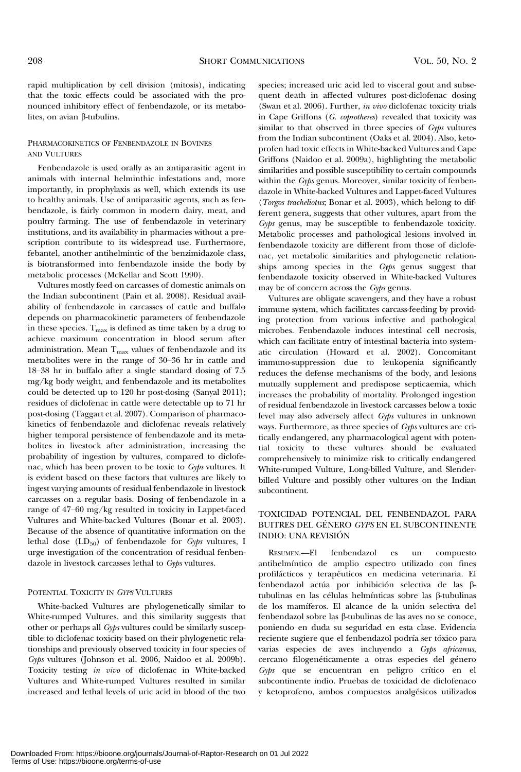rapid multiplication by cell division (mitosis), indicating that the toxic effects could be associated with the pronounced inhibitory effect of fenbendazole, or its metabolites, on avian  $\beta$ -tubulins.

### PHARMACOKINETICS OF FENBENDAZOLE IN BOVINES AND VULTURES

Fenbendazole is used orally as an antiparasitic agent in animals with internal helminthic infestations and, more importantly, in prophylaxis as well, which extends its use to healthy animals. Use of antiparasitic agents, such as fenbendazole, is fairly common in modern dairy, meat, and poultry farming. The use of fenbendazole in veterinary institutions, and its availability in pharmacies without a prescription contribute to its widespread use. Furthermore, febantel, another antihelmintic of the benzimidazole class, is biotransformed into fenbendazole inside the body by metabolic processes (McKellar and Scott 1990).

Vultures mostly feed on carcasses of domestic animals on the Indian subcontinent (Pain et al. 2008). Residual availability of fenbendazole in carcasses of cattle and buffalo depends on pharmacokinetic parameters of fenbendazole in these species.  $T_{\text{max}}$  is defined as time taken by a drug to achieve maximum concentration in blood serum after administration. Mean  $T_{\text{max}}$  values of fenbendazole and its metabolites were in the range of 30–36 hr in cattle and 18–38 hr in buffalo after a single standard dosing of 7.5 mg/kg body weight, and fenbendazole and its metabolites could be detected up to 120 hr post-dosing (Sanyal 2011); residues of diclofenac in cattle were detectable up to 71 hr post-dosing (Taggart et al. 2007). Comparison of pharmacokinetics of fenbendazole and diclofenac reveals relatively higher temporal persistence of fenbendazole and its metabolites in livestock after administration, increasing the probability of ingestion by vultures, compared to diclofenac, which has been proven to be toxic to Gyps vultures. It is evident based on these factors that vultures are likely to ingest varying amounts of residual fenbendazole in livestock carcasses on a regular basis. Dosing of fenbendazole in a range of 47–60 mg/kg resulted in toxicity in Lappet-faced Vultures and White-backed Vultures (Bonar et al. 2003). Because of the absence of quantitative information on the lethal dose  $(LD_{50})$  of fenbendazole for Gyps vultures, I urge investigation of the concentration of residual fenbendazole in livestock carcasses lethal to Gyps vultures.

#### POTENTIAL TOXICITY IN GYPS VULTURES

White-backed Vultures are phylogenetically similar to White-rumped Vultures, and this similarity suggests that other or perhaps all Gyps vultures could be similarly susceptible to diclofenac toxicity based on their phylogenetic relationships and previously observed toxicity in four species of Gyps vultures (Johnson et al. 2006, Naidoo et al. 2009b). Toxicity testing in vivo of diclofenac in White-backed Vultures and White-rumped Vultures resulted in similar increased and lethal levels of uric acid in blood of the two

species; increased uric acid led to visceral gout and subsequent death in affected vultures post-diclofenac dosing (Swan et al. 2006). Further, in vivo diclofenac toxicity trials in Cape Griffons (G. coprotheres) revealed that toxicity was similar to that observed in three species of Gyps vultures from the Indian subcontinent (Oaks et al. 2004). Also, ketoprofen had toxic effects in White-backed Vultures and Cape Griffons (Naidoo et al. 2009a), highlighting the metabolic similarities and possible susceptibility to certain compounds within the Gyps genus. Moreover, similar toxicity of fenbendazole in White-backed Vultures and Lappet-faced Vultures (Torgos tracheliotus; Bonar et al. 2003), which belong to different genera, suggests that other vultures, apart from the Gyps genus, may be susceptible to fenbendazole toxicity. Metabolic processes and pathological lesions involved in fenbendazole toxicity are different from those of diclofenac, yet metabolic similarities and phylogenetic relationships among species in the Gyps genus suggest that fenbendazole toxicity observed in White-backed Vultures may be of concern across the Gyps genus.

Vultures are obligate scavengers, and they have a robust immune system, which facilitates carcass-feeding by providing protection from various infective and pathological microbes. Fenbendazole induces intestinal cell necrosis, which can facilitate entry of intestinal bacteria into systematic circulation (Howard et al. 2002). Concomitant immuno-suppression due to leukopenia significantly reduces the defense mechanisms of the body, and lesions mutually supplement and predispose septicaemia, which increases the probability of mortality. Prolonged ingestion of residual fenbendazole in livestock carcasses below a toxic level may also adversely affect Gyps vultures in unknown ways. Furthermore, as three species of Gyps vultures are critically endangered, any pharmacological agent with potential toxicity to these vultures should be evaluated comprehensively to minimize risk to critically endangered White-rumped Vulture, Long-billed Vulture, and Slenderbilled Vulture and possibly other vultures on the Indian subcontinent.

### TOXICIDAD POTENCIAL DEL FENBENDAZOL PARA BUITRES DEL GÉNERO GYPS EN EL SUBCONTINENTE INDIO: UNA REVISIÓN

RESUMEN.—El fenbendazol es un compuesto antihelmíntico de amplio espectro utilizado con fines profilácticos y terapéuticos en medicina veterinaria. El fenbendazol actúa por inhibición selectiva de las btubulinas en las células helmínticas sobre las β-tubulinas de los mamíferos. El alcance de la unión selectiva del  $f$ enbendazol sobre las  $\beta$ -tubulinas de las aves no se conoce, poniendo en duda su seguridad en esta clase. Evidencia reciente sugiere que el fenbendazol podría ser tóxico para varias especies de aves incluyendo a Gyps africanus, cercano filogenéticamente a otras especies del género Gyps que se encuentran en peligro crítico en el subcontinente indio. Pruebas de toxicidad de diclofenaco y ketoprofeno, ambos compuestos analgésicos utilizados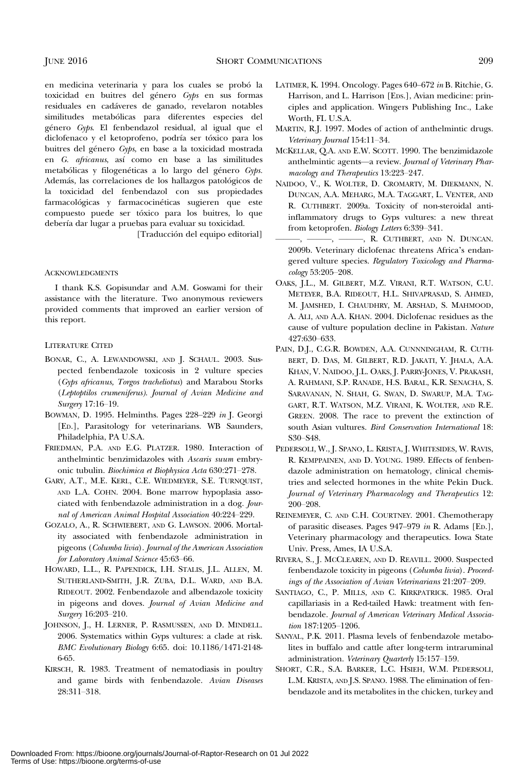en medicina veterinaria y para los cuales se probó la toxicidad en buitres del género Gyps en sus formas residuales en cadáveres de ganado, revelaron notables similitudes metabólicas para diferentes especies del género Gyps. El fenbendazol residual, al igual que el diclofenaco y el ketoprofeno, podría ser tóxico para los buitres del género Gyps, en base a la toxicidad mostrada en G. africanus, así como en base a las similitudes metabólicas y filogenéticas a lo largo del género Gyps. Además, las correlaciones de los hallazgos patológicos de la toxicidad del fenbendazol con sus propiedades farmacológicas y farmacocinéticas sugieren que este compuesto puede ser tóxico para los buitres, lo que debería dar lugar a pruebas para evaluar su toxicidad.

[Traducción del equipo editorial]

#### ACKNOWLEDGMENTS

I thank K.S. Gopisundar and A.M. Goswami for their assistance with the literature. Two anonymous reviewers provided comments that improved an earlier version of this report.

## LITERATURE CITED

- BONAR, C., A. LEWANDOWSKI, AND J. SCHAUL. 2003. Suspected fenbendazole toxicosis in 2 vulture species (Gyps africanus, Torgos tracheliotus) and Marabou Storks (Leptoptilos crumeniferus). Journal of Avian Medicine and Surgery 17:16–19.
- BOWMAN, D. 1995. Helminths. Pages 228–229 in J. Georgi [ED.], Parasitology for veterinarians. WB Saunders, Philadelphia, PA U.S.A.
- FRIEDMAN, P.A. AND E.G. PLATZER. 1980. Interaction of anthelmintic benzimidazoles with Ascaris suum embry‐ onic tubulin. Biochimica et Biophysica Acta 630:271–278.
- GARY, A.T., M.E. KERL, C.E. WIEDMEYER, S.E. TURNQUIST, AND L.A. COHN. 2004. Bone marrow hypoplasia associated with fenbendazole administration in a dog. Journal of American Animal Hospital Association 40:224–229.
- GOZALO, A., R. SCHWIEBERT, AND G. LAWSON. 2006. Mortality associated with fenbendazole administration in pigeons (Columba livia). Journal of the American Association for Laboratory Animal Science 45:63–66.
- HOWARD, L.L., R. PAPENDICK, I.H. STALIS, J.L. ALLEN, M. SUTHERLAND-SMITH, J.R. ZUBA, D.L. WARD, AND B.A. RIDEOUT. 2002. Fenbendazole and albendazole toxicity in pigeons and doves. Journal of Avian Medicine and Surgery 16:203–210.
- JOHNSON, J., H. LERNER, P. RASMUSSEN, AND D. MINDELL. 2006. Systematics within Gyps vultures: a clade at risk. BMC Evolutionary Biology 6:65. doi: 10.1186/1471-2148- 6-65.
- KIRSCH, R. 1983. Treatment of nematodiasis in poultry and game birds with fenbendazole. Avian Diseases 28:311–318.
- LATIMER, K. 1994. Oncology. Pages 640–672 in B. Ritchie, G. Harrison, and L. Harrison [EDS.], Avian medicine: principles and application. Wingers Publishing Inc., Lake Worth, FL U.S.A.
- MARTIN, R.J. 1997. Modes of action of anthelmintic drugs. Veterinary Journal 154:11–34.
- MCKELLAR, Q.A. AND E.W. SCOTT. 1990. The benzimidazole anthelmintic agents—a review. Journal of Veterinary Pharmacology and Therapeutics 13:223–247.
- NAIDOO, V., K. WOLTER, D. CROMARTY, M. DIEKMANN, N. DUNCAN, A.A. MEHARG, M.A. TAGGART, L. VENTER, AND R. CUTHBERT. 2009a. Toxicity of non-steroidal antiinflammatory drugs to Gyps vultures: a new threat from ketoprofen. Biology Letters 6:339–341.
	- $-$ ,  $-\cdots$ ,  $\cdots$ , R. CUTHBERT, AND N. DUNCAN. 2009b. Veterinary diclofenac threatens Africa's endangered vulture species. Regulatory Toxicology and Pharmacology 53:205–208.
- OAKS, J.L., M. GILBERT, M.Z. VIRANI, R.T. WATSON, C.U. METEYER, B.A. RIDEOUT, H.L. SHIVAPRASAD, S. AHMED, M. JAMSHED, I. CHAUDHRY, M. ARSHAD, S. MAHMOOD, A. ALI, AND A.A. KHAN. 2004. Diclofenac residues as the cause of vulture population decline in Pakistan. Nature 427:630–633.
- PAIN, D.J., C.G.R. BOWDEN, A.A. CUNNNINGHAM, R. CUTH-BERT, D. DAS, M. GILBERT, R.D. JAKATI, Y. JHALA, A.A. KHAN, V. NAIDOO, J.L. OAKS, J. PARRY-JONES, V. PRAKASH, A. RAHMANI, S.P. RANADE, H.S. BARAL, K.R. SENACHA, S. SARAVANAN, N. SHAH, G. SWAN, D. SWARUP, M.A. TAG-GART, R.T. WATSON, M.Z. VIRANI, K. WOLTER, AND R.E. GREEN. 2008. The race to prevent the extinction of south Asian vultures. Bird Conservation International 18: S30–S48.
- PEDERSOLI, W., J. SPANO, L. KRISTA, J. WHITESIDES, W. RAVIS, R. KEMPPAINEN, AND D. YOUNG. 1989. Effects of fenbendazole administration on hematology, clinical chemistries and selected hormones in the white Pekin Duck. Journal of Veterinary Pharmacology and Therapeutics 12: 200–208.
- REINEMEYER, C. AND C.H. COURTNEY. 2001. Chemotherapy of parasitic diseases. Pages 947–979 in R. Adams [ED.], Veterinary pharmacology and therapeutics. Iowa State Univ. Press, Ames, IA U.S.A.
- RIVERA, S., J. MCCLEAREN, AND D. REAVILL. 2000. Suspected fenbendazole toxicity in pigeons (Columba livia). Proceedings of the Association of Avian Veterinarians 21:207–209.
- SANTIAGO, C., P. MILLS, AND C. KIRKPATRICK. 1985. Oral capillariasis in a Red-tailed Hawk: treatment with fenbendazole. Journal of American Veterinary Medical Association 187:1205–1206.
- SANYAL, P.K. 2011. Plasma levels of fenbendazole metabolites in buffalo and cattle after long-term intraruminal administration. Veterinary Quarterly 15:157-159.
- SHORT, C.R., S.A. BARKER, L.C. HSIEH, W.M. PEDERSOLI, L.M. KRISTA, AND J.S. SPANO. 1988. The elimination of fenbendazole and its metabolites in the chicken, turkey and